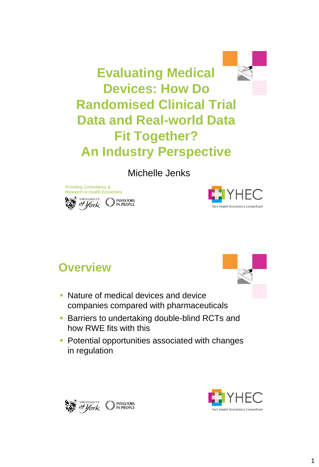

**Evaluating Medical Devices: How Do Randomised Clinical Trial Data and Real-world Data Fit Together? An Industry Perspective** 

Michelle Jenks





### **Overview**

- Nature of medical devices and device companies compared with pharmaceuticals
- **Barriers to undertaking double-blind RCTs and** how RWE fits with this
- **Potential opportunities associated with changes** in regulation



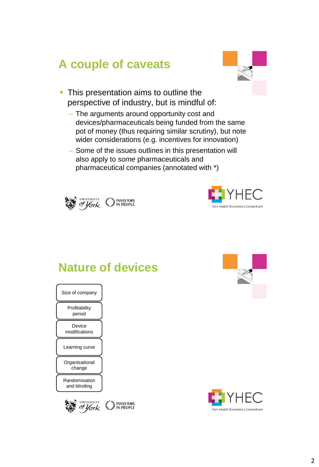## **A couple of caveats**



- This presentation aims to outline the perspective of industry, but is mindful of:
	- The arguments around opportunity cost and devices/pharmaceuticals being funded from the same pot of money (thus requiring similar scrutiny), but note wider considerations (e.g. incentives for innovation)
	- Some of the issues outlines in this presentation will also apply to *some* pharmaceuticals and pharmaceutical companies (annotated with \*)





### **Nature of devices**

Randomisation and blinding **Organisational** change Learning curve **Device** modifications Profitability period Size of company



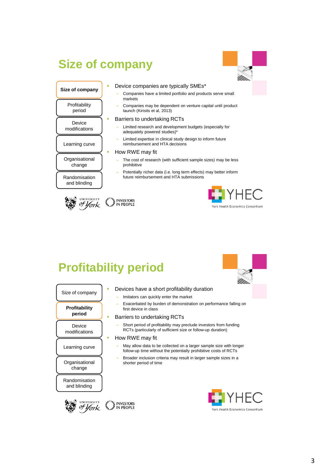### **Size of company**



#### Device companies are typically SMEs\*

- Companies have a limited portfolio and products serve small markets
- Companies may be dependent on venture capital until product launch (Kirisits et al, 2013)

#### Barriers to undertaking RCTs

- Limited research and development budgets (especially for adequately powered studies)\*
- Limited expertise in clinical study design to inform future reimbursement and HTA decisions

#### How RWE may fit

- The cost of research (with sufficient sample sizes) may be less prohibitive
- Potentially richer data (i.e. long term effects) may better inform Randomisation | future reimbursement and HTA submissions



and blinding

**Organisational** change

Learning curve

**Device** modifications

Profitability period

**Size of company**



# **Profitability period**





#### Devices have a short profitability duration

- Imitators can quickly enter the market
- Exacerbated by burden of demonstration on performance falling on first device in class

#### **Barriers to undertaking RCTs**

– Short period of profitability may preclude investors from funding RCTs (particularly of sufficient size or follow-up duration)

#### How RWE may fit

- May allow data to be collected on a larger sample size with longer follow-up time without the potentially prohibitive costs of RCTs
- Broader inclusion criteria may result in larger sample sizes in a shorter period of time



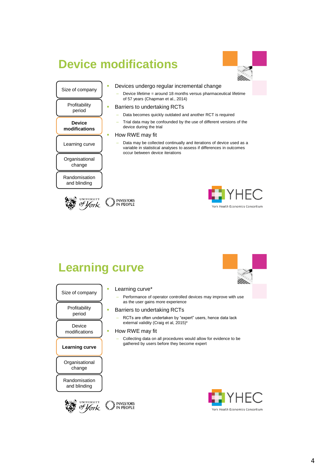## **Device modifications**



### **Organisational** Learning curve **Device modifications** Profitability period Size of company

- **-** Devices undergo regular incremental change
	- Device lifetime = around 18 months versus pharmaceutical lifetime of 57 years (Chapman et al., 2014)

#### **Barriers to undertaking RCTs**

- Data becomes quickly outdated and another RCT is required
- Trial data may be confounded by the use of different versions of the device during the trial

#### **How RWE may fit**

as the user gains more experience Barriers to undertaking RCTs

external validity (Craig et al, 2015)\*

gathered by users before they become expert

– RCTs are often undertaken by "expert" users, hence data lack

– Collecting data on all procedures would allow for evidence to be

– Data may be collected continually and iterations of device used as a variable in statistical analyses to assess if differences in outcomes occur between device iterations

change

Randomisation and blinding





# **Learning curve**

| Size of company               | Learning curve*                          |
|-------------------------------|------------------------------------------|
|                               | Performance of op<br>as the user gains n |
| Profitability<br>period       | Barriers to underta<br>RCTs are often un |
| Device                        | external validity (C)                    |
| modifications                 | How RWE may fit                          |
|                               | Collecting data on<br>gathered by users  |
| Learning curve                |                                          |
|                               |                                          |
| Organisational<br>change      |                                          |
| Randomisation<br>and blinding |                                          |



# York Health Economics Consortium

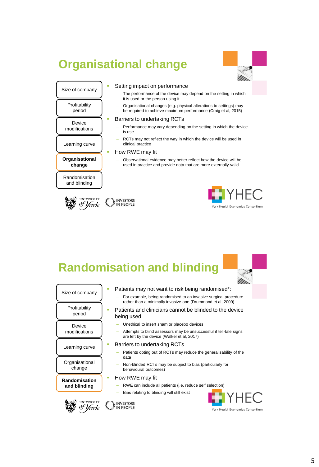### **Organisational change**



#### Size of company

Profitability period

Randomisation and blinding

**Organisational change**

Learning curve

Device modifications

#### Setting impact on performance The performance of the device may depend on the setting in which

- it is used or the person using it
- Organisational changes (e.g. physical alterations to settings) may be required to achieve maximum performance (Craig et al, 2015)

#### Barriers to undertaking RCTs

- Performance may vary depending on the setting in which the device is use
- RCTs may not reflect the way in which the device will be used in clinical practice

#### **How RWE may fit**

– Observational evidence may better reflect how the device will be used in practice and provide data that are more externally valid





### **Randomisation and blinding**

| Size of company           |  | Patients may not want to risk being randomised*:                                                                               |
|---------------------------|--|--------------------------------------------------------------------------------------------------------------------------------|
|                           |  | For example, being randomised to an invasive surgical procedure<br>rather than a minimally invasive one (Drummond et al, 2009) |
| Profitability<br>period   |  | Patients and clinicians cannot be blinded to the device<br>being used                                                          |
| Device                    |  | Unethical to insert sham or placebo devices                                                                                    |
| modifications             |  | Attempts to blind assessors may be unsuccessful if tell-tale signs<br>are left by the device (Walker et al, 2017)              |
| Learning curve            |  | Barriers to undertaking RCTs                                                                                                   |
|                           |  | Patients opting out of RCTs may reduce the generalisability of the<br>data                                                     |
| Organisational<br>change  |  | Non-blinded RCTs may be subject to bias (particularly for<br>behavioural outcomes)                                             |
| ш<br><b>Randomisation</b> |  | How RWE may fit                                                                                                                |
| and blinding              |  | RWE can include all patients (i.e. reduce self selection)                                                                      |
|                           |  | Bias relating to blinding will still exist                                                                                     |
| UNIVERSITY                |  | E I Y HI                                                                                                                       |
|                           |  | York Health Economics C                                                                                                        |
|                           |  |                                                                                                                                |

York Health Economics Consortium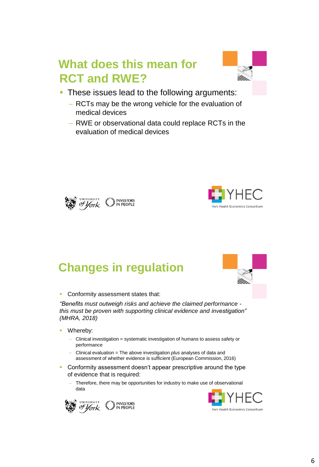### **What does this mean for RCT and RWE?**



- **These issues lead to the following arguments:** 
	- RCTs may be the wrong vehicle for the evaluation of medical devices
	- RWE or observational data could replace RCTs in the evaluation of medical devices





# **Changes in regulation**



**Conformity assessment states that:** 

*"Benefits must outweigh risks and achieve the claimed performance this must be proven with supporting clinical evidence and investigation" (MHRA, 2018)*

- **Whereby:** 
	- Clinical investigation = systematic investigation of humans to assess safety or performance
	- Clinical evaluation = The above investigation *plus* analyses of data and assessment of whether evidence is sufficient (European Commission, 2016)
- Conformity assessment doesn't appear prescriptive around the type of evidence that is required:
	- Therefore, there may be opportunities for industry to make use of observational data